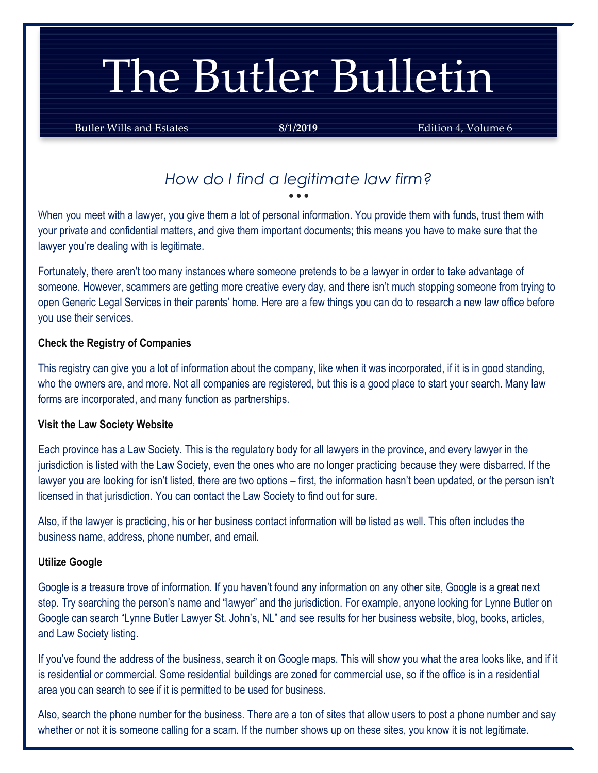# The Butler Bulletin

Butler Wills and Estates **8/1/2019 Edition 4, Volume 6** 

### *How do I find a legitimate law firm?* • • •

When you meet with a lawyer, you give them a lot of personal information. You provide them with funds, trust them with your private and confidential matters, and give them important documents; this means you have to make sure that the lawyer you're dealing with is legitimate.

Fortunately, there aren't too many instances where someone pretends to be a lawyer in order to take advantage of someone. However, scammers are getting more creative every day, and there isn't much stopping someone from trying to open Generic Legal Services in their parents' home. Here are a few things you can do to research a new law office before you use their services.

#### **Check the Registry of Companies**

This registry can give you a lot of information about the company, like when it was incorporated, if it is in good standing, who the owners are, and more. Not all companies are registered, but this is a good place to start your search. Many law forms are incorporated, and many function as partnerships.

#### **Visit the Law Society Website**

Each province has a Law Society. This is the regulatory body for all lawyers in the province, and every lawyer in the jurisdiction is listed with the Law Society, even the ones who are no longer practicing because they were disbarred. If the lawyer you are looking for isn't listed, there are two options – first, the information hasn't been updated, or the person isn't licensed in that jurisdiction. You can contact the Law Society to find out for sure.

Also, if the lawyer is practicing, his or her business contact information will be listed as well. This often includes the business name, address, phone number, and email.

#### **Utilize Google**

Google is a treasure trove of information. If you haven't found any information on any other site, Google is a great next step. Try searching the person's name and "lawyer" and the jurisdiction. For example, anyone looking for Lynne Butler on Google can search "Lynne Butler Lawyer St. John's, NL" and see results for her business website, blog, books, articles, and Law Society listing.

If you've found the address of the business, search it on Google maps. This will show you what the area looks like, and if it is residential or commercial. Some residential buildings are zoned for commercial use, so if the office is in a residential area you can search to see if it is permitted to be used for business.

Also, search the phone number for the business. There are a ton of sites that allow users to post a phone number and say whether or not it is someone calling for a scam. If the number shows up on these sites, you know it is not legitimate.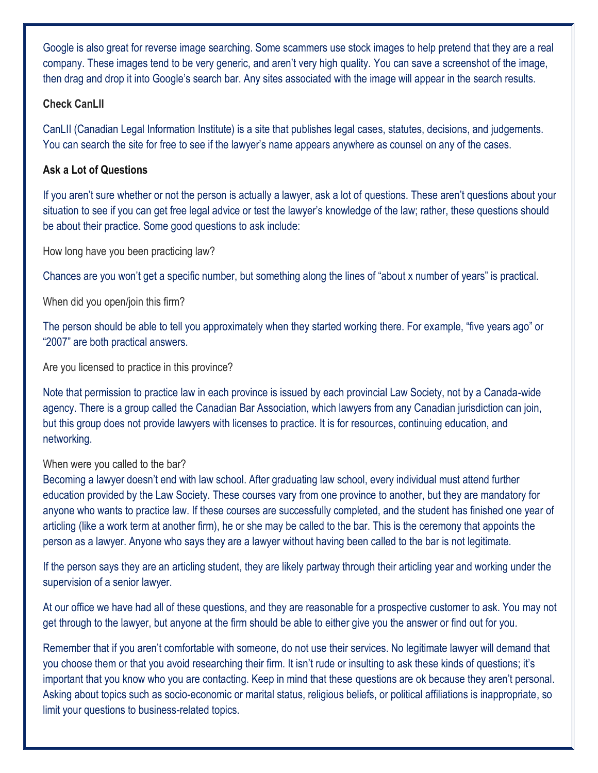Google is also great for reverse image searching. Some scammers use stock images to help pretend that they are a real company. These images tend to be very generic, and aren't very high quality. You can save a screenshot of the image, then drag and drop it into Google's search bar. Any sites associated with the image will appear in the search results.

#### **Check CanLII**

CanLII (Canadian Legal Information Institute) is a site that publishes legal cases, statutes, decisions, and judgements. You can search the site for free to see if the lawyer's name appears anywhere as counsel on any of the cases.

#### **Ask a Lot of Questions**

If you aren't sure whether or not the person is actually a lawyer, ask a lot of questions. These aren't questions about your situation to see if you can get free legal advice or test the lawyer's knowledge of the law; rather, these questions should be about their practice. Some good questions to ask include:

How long have you been practicing law?

Chances are you won't get a specific number, but something along the lines of "about x number of years" is practical.

When did you open/join this firm?

The person should be able to tell you approximately when they started working there. For example, "five years ago" or "2007" are both practical answers.

Are you licensed to practice in this province?

Note that permission to practice law in each province is issued by each provincial Law Society, not by a Canada-wide agency. There is a group called the Canadian Bar Association, which lawyers from any Canadian jurisdiction can join, but this group does not provide lawyers with licenses to practice. It is for resources, continuing education, and networking.

#### When were you called to the bar?

Becoming a lawyer doesn't end with law school. After graduating law school, every individual must attend further education provided by the Law Society. These courses vary from one province to another, but they are mandatory for anyone who wants to practice law. If these courses are successfully completed, and the student has finished one year of articling (like a work term at another firm), he or she may be called to the bar. This is the ceremony that appoints the person as a lawyer. Anyone who says they are a lawyer without having been called to the bar is not legitimate.

If the person says they are an articling student, they are likely partway through their articling year and working under the supervision of a senior lawyer.

At our office we have had all of these questions, and they are reasonable for a prospective customer to ask. You may not get through to the lawyer, but anyone at the firm should be able to either give you the answer or find out for you.

Remember that if you aren't comfortable with someone, do not use their services. No legitimate lawyer will demand that you choose them or that you avoid researching their firm. It isn't rude or insulting to ask these kinds of questions; it's important that you know who you are contacting. Keep in mind that these questions are ok because they aren't personal. Asking about topics such as socio-economic or marital status, religious beliefs, or political affiliations is inappropriate, so limit your questions to business-related topics.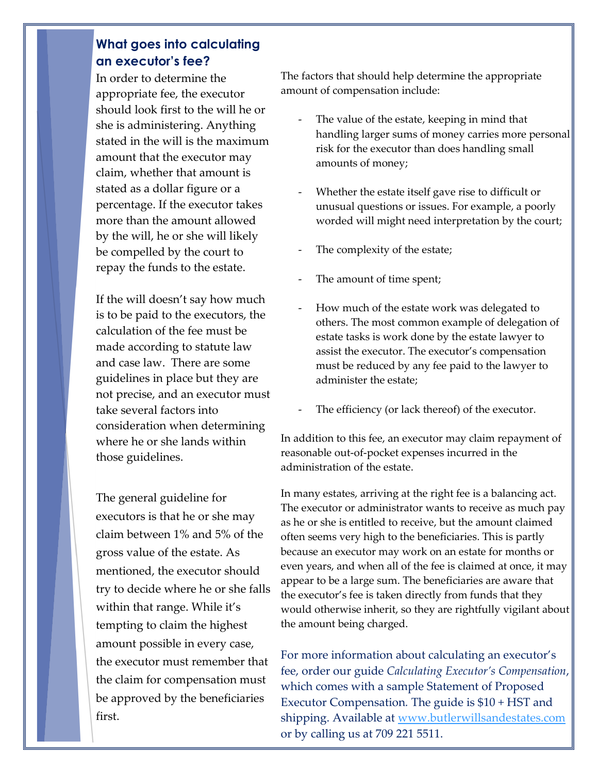## **What goes into calculating an executor's fee?**

In order to determine the appropriate fee, the executor should look first to the will he or she is administering. Anything stated in the will is the maximum amount that the executor may claim, whether that amount is stated as a dollar figure or a percentage. If the executor takes more than the amount allowed by the will, he or she will likely be compelled by the court to repay the funds to the estate.

If the will doesn't say how much is to be paid to the executors, the calculation of the fee must be made according to statute law and case law. There are some guidelines in place but they are not precise, and an executor must take several factors into consideration when determining where he or she lands within those guidelines.

The general guideline for executors is that he or she may claim between 1% and 5% of the gross value of the estate. As mentioned, the executor should try to decide where he or she falls within that range. While it's tempting to claim the highest amount possible in every case, the executor must remember that the claim for compensation must be approved by the beneficiaries first.

The factors that should help determine the appropriate amount of compensation include:

- The value of the estate, keeping in mind that handling larger sums of money carries more personal risk for the executor than does handling small amounts of money;
- Whether the estate itself gave rise to difficult or unusual questions or issues. For example, a poorly worded will might need interpretation by the court;
- The complexity of the estate;
- The amount of time spent;
- How much of the estate work was delegated to others. The most common example of delegation of estate tasks is work done by the estate lawyer to assist the executor. The executor's compensation must be reduced by any fee paid to the lawyer to administer the estate;
- The efficiency (or lack thereof) of the executor.

In addition to this fee, an executor may claim repayment of reasonable out-of-pocket expenses incurred in the administration of the estate.

In many estates, arriving at the right fee is a balancing act. The executor or administrator wants to receive as much pay as he or she is entitled to receive, but the amount claimed often seems very high to the beneficiaries. This is partly because an executor may work on an estate for months or even years, and when all of the fee is claimed at once, it may appear to be a large sum. The beneficiaries are aware that the executor's fee is taken directly from funds that they would otherwise inherit, so they are rightfully vigilant about the amount being charged.

For more information about calculating an executor's fee, order our guide *Calculating Executor's Compensation*, which comes with a sample Statement of Proposed Executor Compensation*.* The guide is \$10 + HST and shipping. Available at [www.butlerwillsandestates.com](http://www.butlerwillsandestates.com/) or by calling us at 709 221 5511.